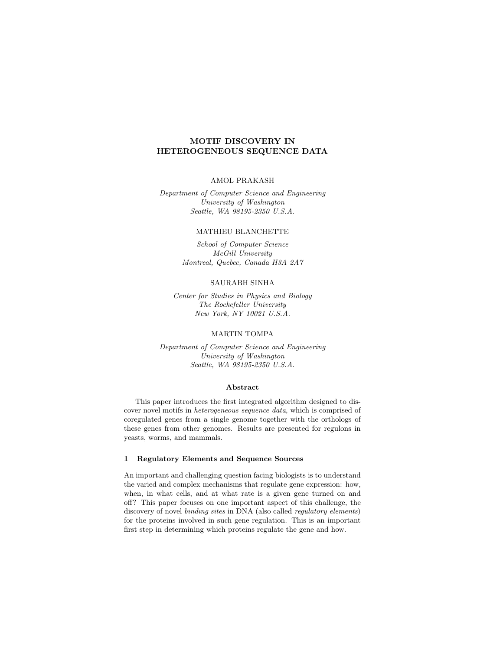# MOTIF DISCOVERY IN HETEROGENEOUS SEQUENCE DATA

## AMOL PRAKASH

Department of Computer Science and Engineering University of Washington Seattle, WA 98195-2350 U.S.A.

## MATHIEU BLANCHETTE

School of Computer Science McGill University Montreal, Quebec, Canada H3A 2A7

## SAURABH SINHA

Center for Studies in Physics and Biology The Rockefeller University New York, NY 10021 U.S.A.

# MARTIN TOMPA

Department of Computer Science and Engineering University of Washington Seattle, WA 98195-2350 U.S.A.

#### Abstract

This paper introduces the first integrated algorithm designed to discover novel motifs in heterogeneous sequence data, which is comprised of coregulated genes from a single genome together with the orthologs of these genes from other genomes. Results are presented for regulons in yeasts, worms, and mammals.

#### 1 Regulatory Elements and Sequence Sources

An important and challenging question facing biologists is to understand the varied and complex mechanisms that regulate gene expression: how, when, in what cells, and at what rate is a given gene turned on and off? This paper focuses on one important aspect of this challenge, the discovery of novel binding sites in DNA (also called regulatory elements) for the proteins involved in such gene regulation. This is an important first step in determining which proteins regulate the gene and how.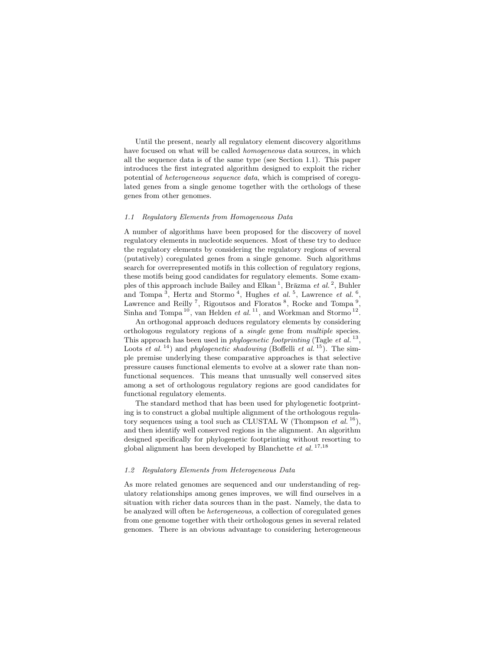Until the present, nearly all regulatory element discovery algorithms have focused on what will be called homogeneous data sources, in which all the sequence data is of the same type (see Section 1.1). This paper introduces the first integrated algorithm designed to exploit the richer potential of heterogeneous sequence data, which is comprised of coregulated genes from a single genome together with the orthologs of these genes from other genomes.

### 1.1 Regulatory Elements from Homogeneous Data

A number of algorithms have been proposed for the discovery of novel regulatory elements in nucleotide sequences. Most of these try to deduce the regulatory elements by considering the regulatory regions of several (putatively) coregulated genes from a single genome. Such algorithms search for overrepresented motifs in this collection of regulatory regions, these motifs being good candidates for regulatory elements. Some examples of this approach include Bailey and Elkan<sup>1</sup>, Brāzma et al.<sup>2</sup>, Buhler and Tompa<sup>3</sup>, Hertz and Stormo<sup>4</sup>, Hughes *et al.*<sup>5</sup>, Lawrence *et al.*<sup>6</sup>, Lawrence and Reilly<sup>7</sup>, Rigoutsos and Floratos<sup>8</sup>, Rocke and Tompa<sup>9</sup>, Sinha and Tompa<sup>10</sup>, van Helden et al.<sup>11</sup>, and Workman and Stormo<sup>12</sup>.

An orthogonal approach deduces regulatory elements by considering orthologous regulatory regions of a single gene from multiple species. This approach has been used in *phylogenetic footprinting* (Tagle *et al.*<sup>13</sup>, Loots et al.<sup>14</sup>) and *phylogenetic shadowing* (Boffelli et al.<sup>15</sup>). The simple premise underlying these comparative approaches is that selective pressure causes functional elements to evolve at a slower rate than nonfunctional sequences. This means that unusually well conserved sites among a set of orthologous regulatory regions are good candidates for functional regulatory elements.

The standard method that has been used for phylogenetic footprinting is to construct a global multiple alignment of the orthologous regulatory sequences using a tool such as CLUSTAL W (Thompson *et al.*<sup>16</sup>), and then identify well conserved regions in the alignment. An algorithm designed specifically for phylogenetic footprinting without resorting to global alignment has been developed by Blanchette  $et \ al.$ <sup>17,18</sup>

#### 1.2 Regulatory Elements from Heterogeneous Data

As more related genomes are sequenced and our understanding of regulatory relationships among genes improves, we will find ourselves in a situation with richer data sources than in the past. Namely, the data to be analyzed will often be heterogeneous, a collection of coregulated genes from one genome together with their orthologous genes in several related genomes. There is an obvious advantage to considering heterogeneous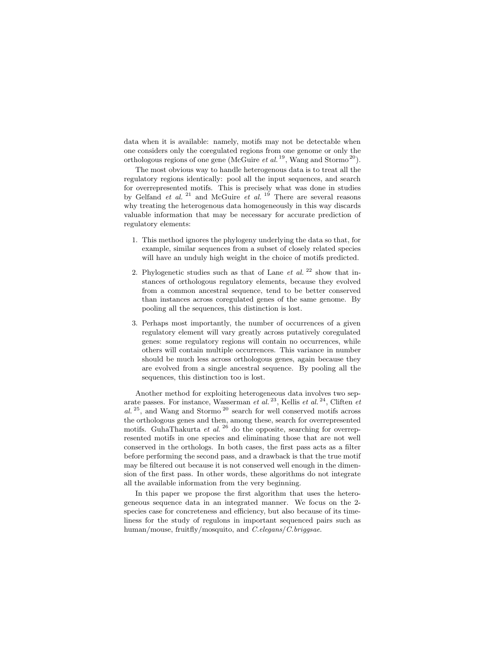data when it is available: namely, motifs may not be detectable when one considers only the coregulated regions from one genome or only the orthologous regions of one gene (McGuire *et al.*<sup>19</sup>, Wang and Stormo<sup>20</sup>).

The most obvious way to handle heterogenous data is to treat all the regulatory regions identically: pool all the input sequences, and search for overrepresented motifs. This is precisely what was done in studies by Gelfand *et al.* <sup>21</sup> and McGuire *et al.* <sup>19</sup> There are several reasons why treating the heterogenous data homogeneously in this way discards valuable information that may be necessary for accurate prediction of regulatory elements:

- 1. This method ignores the phylogeny underlying the data so that, for example, similar sequences from a subset of closely related species will have an unduly high weight in the choice of motifs predicted.
- 2. Phylogenetic studies such as that of Lane  $et$  al.  $2^2$  show that instances of orthologous regulatory elements, because they evolved from a common ancestral sequence, tend to be better conserved than instances across coregulated genes of the same genome. By pooling all the sequences, this distinction is lost.
- 3. Perhaps most importantly, the number of occurrences of a given regulatory element will vary greatly across putatively coregulated genes: some regulatory regions will contain no occurrences, while others will contain multiple occurrences. This variance in number should be much less across orthologous genes, again because they are evolved from a single ancestral sequence. By pooling all the sequences, this distinction too is lost.

Another method for exploiting heterogeneous data involves two separate passes. For instance, Wasserman *et al.*<sup>23</sup>, Kellis *et al.*<sup>24</sup>, Cliften *et* al.<sup>25</sup>, and Wang and Stormo<sup>20</sup> search for well conserved motifs across the orthologous genes and then, among these, search for overrepresented motifs. GuhaThakurta *et al.* <sup>26</sup> do the opposite, searching for overrepresented motifs in one species and eliminating those that are not well conserved in the orthologs. In both cases, the first pass acts as a filter before performing the second pass, and a drawback is that the true motif may be filtered out because it is not conserved well enough in the dimension of the first pass. In other words, these algorithms do not integrate all the available information from the very beginning.

In this paper we propose the first algorithm that uses the heterogeneous sequence data in an integrated manner. We focus on the 2 species case for concreteness and efficiency, but also because of its timeliness for the study of regulons in important sequenced pairs such as human/mouse, fruitfly/mosquito, and C.elegans/C.briggsae.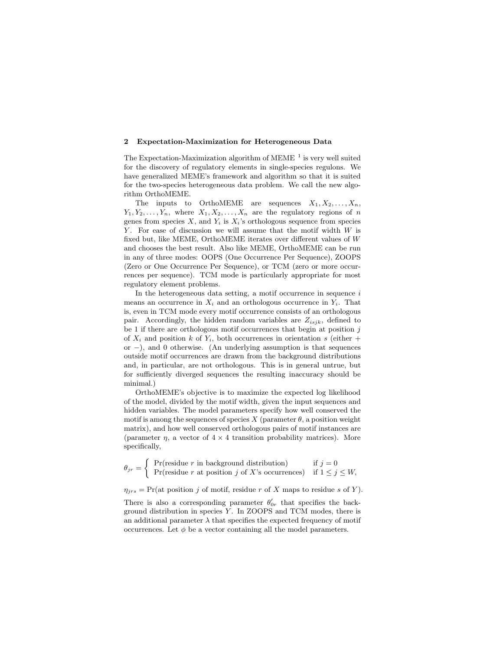#### 2 Expectation-Maximization for Heterogeneous Data

The Expectation-Maximization algorithm of MEME  $^1$  is very well suited for the discovery of regulatory elements in single-species regulons. We have generalized MEME's framework and algorithm so that it is suited for the two-species heterogeneous data problem. We call the new algorithm OrthoMEME.

The inputs to OrthoMEME are sequences  $X_1, X_2, \ldots, X_n$ ,  $Y_1, Y_2, \ldots, Y_n$ , where  $X_1, X_2, \ldots, X_n$  are the regulatory regions of n genes from species  $X$ , and  $Y_i$  is  $X_i$ 's orthologous sequence from species  $Y$ . For ease of discussion we will assume that the motif width  $W$  is fixed but, like MEME, OrthoMEME iterates over different values of W and chooses the best result. Also like MEME, OrthoMEME can be run in any of three modes: OOPS (One Occurrence Per Sequence), ZOOPS (Zero or One Occurrence Per Sequence), or TCM (zero or more occurrences per sequence). TCM mode is particularly appropriate for most regulatory element problems.

In the heterogeneous data setting, a motif occurrence in sequence  $i$ means an occurrence in  $X_i$  and an orthologous occurrence in  $Y_i$ . That is, even in TCM mode every motif occurrence consists of an orthologous pair. Accordingly, the hidden random variables are  $Z_{isjk}$ , defined to be 1 if there are orthologous motif occurrences that begin at position  $j$ of  $X_i$  and position k of  $Y_i$ , both occurrences in orientation s (either + or −), and 0 otherwise. (An underlying assumption is that sequences outside motif occurrences are drawn from the background distributions and, in particular, are not orthologous. This is in general untrue, but for sufficiently diverged sequences the resulting inaccuracy should be minimal.)

OrthoMEME's objective is to maximize the expected log likelihood of the model, divided by the motif width, given the input sequences and hidden variables. The model parameters specify how well conserved the motif is among the sequences of species X (parameter  $\theta$ , a position weight matrix), and how well conserved orthologous pairs of motif instances are (parameter  $\eta$ , a vector of  $4 \times 4$  transition probability matrices). More specifically,

$$
\theta_{jr} = \begin{cases} \Pr(\text{residue } r \text{ in background distribution}) & \text{if } j = 0\\ \Pr(\text{residue } r \text{ at position } j \text{ of } X \text{'s occurrences}) & \text{if } 1 \leq j \leq W, \end{cases}
$$

 $\eta_{jrs} = \Pr(\text{at position } j \text{ of motif, residue } r \text{ of } X \text{ maps to residue } s \text{ of } Y).$ 

There is also a corresponding parameter  $\theta'_{0r}$  that specifies the background distribution in species  $Y$ . In ZOOPS and TCM modes, there is an additional parameter  $\lambda$  that specifies the expected frequency of motif occurrences. Let  $\phi$  be a vector containing all the model parameters.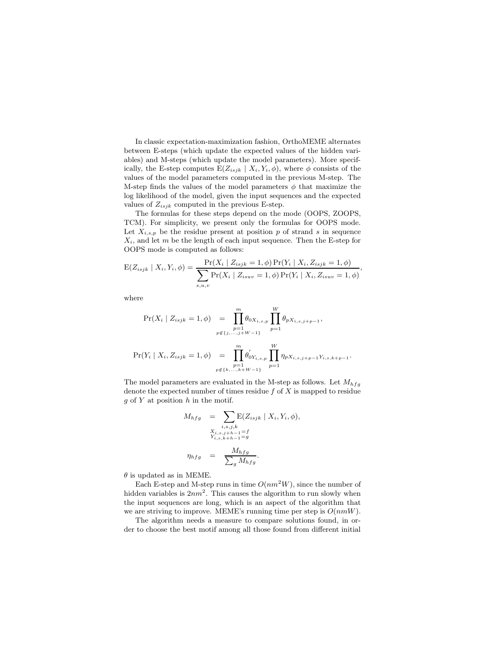In classic expectation-maximization fashion, OrthoMEME alternates between E-steps (which update the expected values of the hidden variables) and M-steps (which update the model parameters). More specifically, the E-step computes  $E(Z_{isjk} | X_i, Y_i, \phi)$ , where  $\phi$  consists of the values of the model parameters computed in the previous M-step. The M-step finds the values of the model parameters  $\phi$  that maximize the log likelihood of the model, given the input sequences and the expected values of  $Z_{isjk}$  computed in the previous E-step.

The formulas for these steps depend on the mode (OOPS, ZOOPS, TCM). For simplicity, we present only the formulas for OOPS mode. Let  $X_{i,s,p}$  be the residue present at position p of strand s in sequence  $X_i$ , and let m be the length of each input sequence. Then the E-step for OOPS mode is computed as follows:

$$
E(Z_{isjk} | X_i, Y_i, \phi) = \frac{\Pr(X_i | Z_{isjk} = 1, \phi) \Pr(Y_i | X_i, Z_{isjk} = 1, \phi)}{\sum_{s, u, v} \Pr(X_i | Z_{isuv} = 1, \phi) \Pr(Y_i | X_i, Z_{isuv} = 1, \phi)},
$$

where

$$
\Pr(X_i \mid Z_{isjk} = 1, \phi) = \prod_{p=1}^{m} \theta_{0X_{i,s,p}} \prod_{p=1}^{W} \theta_{pX_{i,s,j+p-1}},
$$
  

$$
\Pr(Y_i \mid X_i, Z_{isjk} = 1, \phi) = \prod_{p=1}^{m} \theta'_{0Y_{i,s,p}} \prod_{p=1}^{W} \eta_{pX_{i,s,j+p-1}Y_{i,s,k+p-1}}.
$$

The model parameters are evaluated in the M-step as follows. Let  $M_{hfg}$ denote the expected number of times residue  $f$  of  $X$  is mapped to residue  $g$  of Y at position  $h$  in the motif.

$$
M_{hfg} = \sum_{\substack{i,s,j,k \\ X_i,s,j+h-1=f \\ Y_{i,s,k+h-1}=g}} \mathbf{E}(Z_{isjk} | X_i, Y_i, \phi),
$$

$$
X_{i,s,k+h-1}=g
$$

$$
\eta_{hfg} = \frac{M_{hfg}}{\sum_g M_{hfg}}.
$$

 $\theta$  is updated as in MEME.

Each E-step and M-step runs in time  $O(nm^2W)$ , since the number of hidden variables is  $2nm^2$ . This causes the algorithm to run slowly when the input sequences are long, which is an aspect of the algorithm that we are striving to improve. MEME's running time per step is  $O(nmW)$ .

The algorithm needs a measure to compare solutions found, in order to choose the best motif among all those found from different initial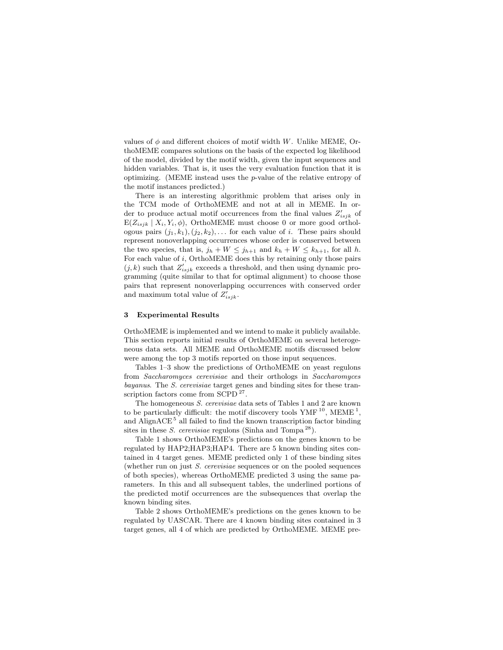values of  $\phi$  and different choices of motif width W. Unlike MEME, OrthoMEME compares solutions on the basis of the expected log likelihood of the model, divided by the motif width, given the input sequences and hidden variables. That is, it uses the very evaluation function that it is optimizing. (MEME instead uses the p-value of the relative entropy of the motif instances predicted.)

There is an interesting algorithmic problem that arises only in the TCM mode of OrthoMEME and not at all in MEME. In order to produce actual motif occurrences from the final values  $Z'_{isjk}$  of  $E(Z_{isjk} | X_i, Y_i, \phi)$ , OrthoMEME must choose 0 or more good orthologous pairs  $(j_1, k_1), (j_2, k_2), \ldots$  for each value of i. These pairs should represent nonoverlapping occurrences whose order is conserved between the two species, that is,  $j_h + W \leq j_{h+1}$  and  $k_h + W \leq k_{h+1}$ , for all h. For each value of i, OrthoMEME does this by retaining only those pairs  $(j, k)$  such that  $Z'_{isjk}$  exceeds a threshold, and then using dynamic programming (quite similar to that for optimal alignment) to choose those pairs that represent nonoverlapping occurrences with conserved order and maximum total value of  $Z_{isjk}^{\prime}$ .

#### 3 Experimental Results

OrthoMEME is implemented and we intend to make it publicly available. This section reports initial results of OrthoMEME on several heterogeneous data sets. All MEME and OrthoMEME motifs discussed below were among the top 3 motifs reported on those input sequences.

Tables 1–3 show the predictions of OrthoMEME on yeast regulons from Saccharomyces cerevisiae and their orthologs in Saccharomyces bayanus. The S. cerevisiae target genes and binding sites for these transcription factors come from SCPD<sup>27</sup>.

The homogeneous S. cerevisiae data sets of Tables 1 and 2 are known to be particularly difficult: the motif discovery tools  $YMF^{10}$ , MEME<sup>1</sup>, and Align $ACE<sup>5</sup>$  all failed to find the known transcription factor binding sites in these *S. cerevisiae* regulons (Sinha and Tompa<sup>28</sup>).

Table 1 shows OrthoMEME's predictions on the genes known to be regulated by HAP2;HAP3;HAP4. There are 5 known binding sites contained in 4 target genes. MEME predicted only 1 of these binding sites (whether run on just S. cerevisiae sequences or on the pooled sequences of both species), whereas OrthoMEME predicted 3 using the same parameters. In this and all subsequent tables, the underlined portions of the predicted motif occurrences are the subsequences that overlap the known binding sites.

Table 2 shows OrthoMEME's predictions on the genes known to be regulated by UASCAR. There are 4 known binding sites contained in 3 target genes, all 4 of which are predicted by OrthoMEME. MEME pre-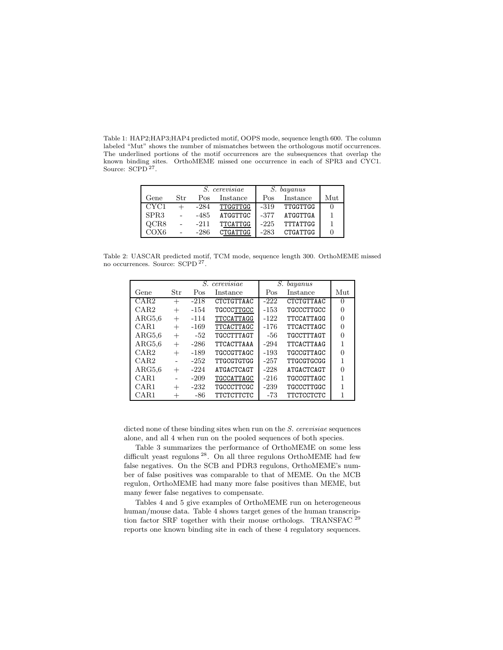Table 1: HAP2;HAP3;HAP4 predicted motif, OOPS mode, sequence length 600. The column labeled "Mut" shows the number of mismatches between the orthologous motif occurrences. The underlined portions of the motif occurrences are the subsequences that overlap the known binding sites. OrthoMEME missed one occurrence in each of SPR3 and CYC1. Source: SCPD<sup>27</sup>.

|                  |     |        | <i>S.</i> cerevisiae | S. bayanus |                 |     |
|------------------|-----|--------|----------------------|------------|-----------------|-----|
| Gene             | Str | Pos    | Instance             | Pos        | Instance        | Mut |
| CYC <sub>1</sub> |     | $-284$ | TTGGTTGG             | $-319$     | TTGGTTGG        |     |
| SPR <sub>3</sub> |     | $-485$ | ATGGTTGC             | -377       | ATGGTTGA        |     |
| QCR8             |     | $-211$ | <b>TTCATTGG</b>      | $-225$     | TTTATTGG        |     |
| COX6             |     | -286   | <b>CTGATTGG</b>      | $-283$     | <b>CTGATTGG</b> |     |

Table 2: UASCAR predicted motif, TCM mode, sequence length 300. OrthoMEME missed no occurrences. Source: SCPD<sup>27</sup>.

|        |        | S.     | cerevisiae | S.     |                   |              |
|--------|--------|--------|------------|--------|-------------------|--------------|
| Gene   | Str    | Pos    | Instance   | Pos    | Instance          | Mut          |
| CAR2   | $^{+}$ | $-218$ | CTCTGTTAAC | $-222$ | CTCTGTTAAC        | $\mathbf{0}$ |
| CAR2   | $^{+}$ | $-154$ | TGCCCTTGCC | $-153$ | TGCCCTTGCC        |              |
| ARG5,6 | $^{+}$ | $-114$ | TTCCATTAGG | $-122$ | TTCCATTAGG        | 0            |
| CAR1   | $^{+}$ | $-169$ | TTCACTTAGC | $-176$ | TTCACTTAGC        |              |
| ARG5,6 | $^{+}$ | $-52$  | TGCCTTTAGT | -56    | <b>TGCCTTTAGT</b> |              |
| ARG5,6 | $^{+}$ | $-286$ | TTCACTTAAA | $-294$ | TTCACTTAAG        |              |
| CAR2   | $^{+}$ | $-189$ | TGCCGTTAGC | $-193$ | TGCCGTTAGC        |              |
| CAR2   |        | $-252$ | TTGCGTGTGG | $-257$ | TTGCGTGCGG        |              |
| ARG5,6 | $^{+}$ | $-224$ | ATGACTCAGT | $-228$ | ATGACTCAGT        | O            |
| CAR1   |        | $-209$ | TGCCATTAGC | $-216$ | TGCCGTTAGC        |              |
| CAR1   | $^{+}$ | $-232$ | TGCCCTTCGC | $-239$ | TGCCCTTGGC        |              |
| CAR1   |        | -86    | TTCTCTTCTC | -73    | <b>TTCTCCTCTC</b> |              |

dicted none of these binding sites when run on the S. cerevisiae sequences alone, and all 4 when run on the pooled sequences of both species.

Table 3 summarizes the performance of OrthoMEME on some less difficult yeast regulons<sup>28</sup>. On all three regulons OrthoMEME had few false negatives. On the SCB and PDR3 regulons, OrthoMEME's number of false positives was comparable to that of MEME. On the MCB regulon, OrthoMEME had many more false positives than MEME, but many fewer false negatives to compensate.

Tables 4 and 5 give examples of OrthoMEME run on heterogeneous human/mouse data. Table 4 shows target genes of the human transcription factor SRF together with their mouse orthologs. TRANSFAC<sup>29</sup> reports one known binding site in each of these 4 regulatory sequences.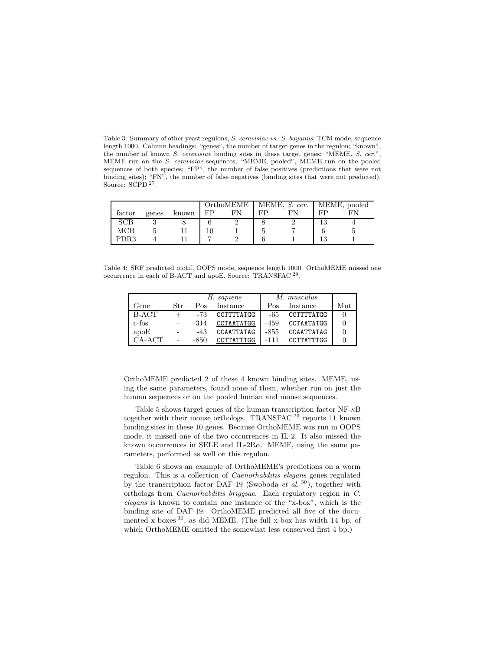Table 3: Summary of other yeast regulons, S. cerevisiae vs. S. bayanus, TCM mode, sequence length 1000. Column headings: "genes", the number of target genes in the regulon; "known", the number of known S. cerevisiae binding sites in these target genes; "MEME, S. cer.", MEME run on the S. cerevisiae sequences; "MEME, pooled", MEME run on the pooled sequences of both species; "FP", the number of false positives (predictions that were not binding sites); "FN", the number of false negatives (binding sites that were not predicted). Source: SCPD<sup>27</sup>.

|        |       |       | OrthoMEME |    |    | MEME, $S.$ cer.   MEME, pooled |     |  |
|--------|-------|-------|-----------|----|----|--------------------------------|-----|--|
| factor | genes | known | FP        | FN | FP | FN                             | FP  |  |
| SCB    |       |       |           |    |    |                                | 13  |  |
| MCB    |       |       |           |    |    |                                |     |  |
| PDR3   |       |       |           |    |    |                                | 1 ર |  |

Table 4: SRF predicted motif, OOPS mode, sequence length 1000. OrthoMEME missed one occurrence in each of B-ACT and apoE. Source: TRANSFAC<sup>29</sup>.

|          |                |        | H. sapiens | M. musculus |            |     |
|----------|----------------|--------|------------|-------------|------------|-----|
| Gene     | Str            | Pos    | Instance   | Pos         | Instance   | Mut |
| B-ACT    |                | $-73$  | CCTTTTATGG | -65         | CCTTTTATGG |     |
| c-fos    | $\blacksquare$ | $-314$ | CCTAATATGG | $-459$      | CCTAATATGG |     |
| apoE     | $\equiv$       | -43    | CCAATTATAG | $-855$      | CCAATTATAG |     |
| $CA-ACT$ | $\omega$       | -850   | CCTTATTTGG | $-111$      | CCTTATTTGG |     |

OrthoMEME predicted 2 of these 4 known binding sites. MEME, using the same parameters, found none of them, whether run on just the human sequences or on the pooled human and mouse sequences.

Table 5 shows target genes of the human transcription factor  $NF-\kappa B$ together with their mouse orthologs. TRANSFAC<sup>29</sup> reports 11 known binding sites in these 10 genes. Because OrthoMEME was run in OOPS mode, it missed one of the two occurrences in IL-2. It also missed the known occurrences in SELE and IL-2R $\alpha$ . MEME, using the same parameters, performed as well on this regulon.

Table 6 shows an example of OrthoMEME's predictions on a worm regulon. This is a collection of Caenorhabditis elegans genes regulated by the transcription factor DAF-19 (Swoboda *et al.* <sup>30</sup>), together with orthologs from Caenorhabditis briggsae. Each regulatory region in C. elegans is known to contain one instance of the "x-box", which is the binding site of DAF-19. OrthoMEME predicted all five of the documented x-boxes 30 , as did MEME. (The full x-box has width 14 bp, of which OrthoMEME omitted the somewhat less conserved first 4 bp.)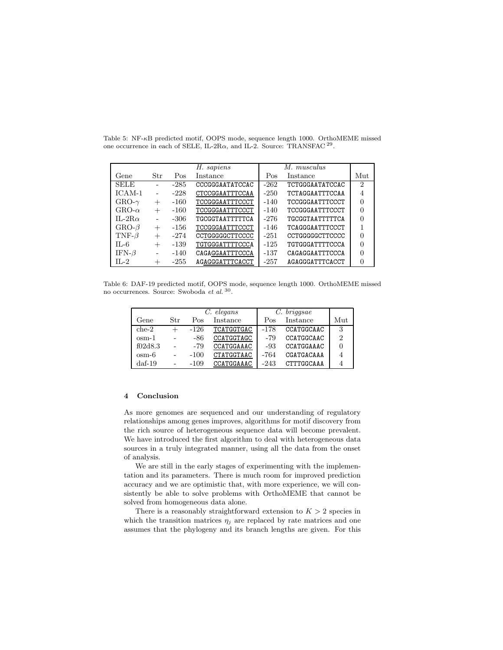|                |                | H. sapiens |                 |        | M. musculus            |                |
|----------------|----------------|------------|-----------------|--------|------------------------|----------------|
| Gene           | Str            | Pos        | Instance        | Pos    | Instance               | Mut            |
| <b>SELE</b>    | $\sim$         | $-285$     | CCCGGGAATATCCAC | $-262$ | TCTGGGAATATCCAC        | 2              |
| $ICAM-1$       | $\bar{a}$      | $-228$     | CTCCGGAATTTCCAA | $-250$ | TCTAGGAATTTCCAA        | $\overline{4}$ |
| $GRO-\gamma$   | $^{+}$         | $-160$     | TCCGGGAATTTCCCT | $-140$ | TCCGGGAATTTCCCT        |                |
| GRO- $\alpha$  | $^{+}$         | $-160$     | TCCGGGAATTTCCCT | $-140$ | TCCGGGAATTTCCCT        |                |
| IL-2R $\alpha$ | $\blacksquare$ | $-306$     | TGCGGTAATTTTTCA | $-276$ | TGCGGTAATTTTTCA        |                |
| $GRO-\beta$    | $+$            | $-156$     | TCCGGGAATTTCCCT | -146   | <b>TCAGGGAATTTCCCT</b> |                |
| TNF- $\beta$   | $+$            | -274       | CCTGGGGGCTTCCCC | $-251$ | CCTGGGGGCTTCCCC        |                |
| $IL-6$         | $+$            | $-139$     | TGTGGGATTTTCCCA | $-125$ | TGTGGGATTTTCCCA        |                |
| IFN- $\beta$   | ٠              | $-140$     | CAGAGGAATTTCCCA | $-137$ | CAGAGGAATTTCCCA        |                |
| $H - 2$        | $^{+}$         | $-255$     | AGAGGGATTTCACCT | $-257$ | AGAGGGATTTCACCT        |                |

Table 5: NF-κB predicted motif, OOPS mode, sequence length 1000. OrthoMEME missed one occurrence in each of SELE, IL-2R $\alpha$ , and IL-2. Source: TRANSFAC  $^{29}$ .

Table 6: DAF-19 predicted motif, OOPS mode, sequence length 1000. OrthoMEME missed no occurrences. Source: Swoboda et al.<sup>30</sup>.

|                 |        |        | C. elegans | $C.$ briggsae |            |     |
|-----------------|--------|--------|------------|---------------|------------|-----|
| Gene            | Str    | Pos    | Instance   | Pos           | Instance   | Mut |
| $che-2$         | $^{+}$ | $-126$ | TCATGGTGAC | $-178$        | CCATGGCAAC | 3   |
| $osm-1$         |        | -86    | CCATGGTAGC | $-79$         | CCATGGCAAC | 2   |
| f02d8.3         |        | $-79$  | CCATGGAAAC | -93           | CCATGGAAAC |     |
| $osm-6$         |        | $-100$ | CTATGGTAAC | -764          | CGATGACAAA |     |
| $\text{daf-19}$ |        | $-109$ | CCATGGAAAC | $-243$        | CTTTGGCAAA |     |

#### 4 Conclusion

As more genomes are sequenced and our understanding of regulatory relationships among genes improves, algorithms for motif discovery from the rich source of heterogeneous sequence data will become prevalent. We have introduced the first algorithm to deal with heterogeneous data sources in a truly integrated manner, using all the data from the onset of analysis.

We are still in the early stages of experimenting with the implementation and its parameters. There is much room for improved prediction accuracy and we are optimistic that, with more experience, we will consistently be able to solve problems with OrthoMEME that cannot be solved from homogeneous data alone.

There is a reasonably straightforward extension to  $K > 2$  species in which the transition matrices  $\eta_j$  are replaced by rate matrices and one assumes that the phylogeny and its branch lengths are given. For this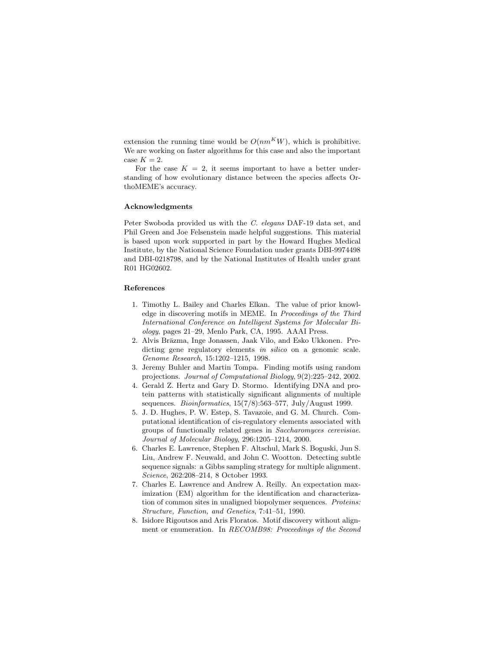extension the running time would be  $O(nm<sup>K</sup>W)$ , which is prohibitive. We are working on faster algorithms for this case and also the important case  $K = 2$ .

For the case  $K = 2$ , it seems important to have a better understanding of how evolutionary distance between the species affects OrthoMEME's accuracy.

### Acknowledgments

Peter Swoboda provided us with the C. elegans DAF-19 data set, and Phil Green and Joe Felsenstein made helpful suggestions. This material is based upon work supported in part by the Howard Hughes Medical Institute, by the National Science Foundation under grants DBI-9974498 and DBI-0218798, and by the National Institutes of Health under grant R01 HG02602.

## References

- 1. Timothy L. Bailey and Charles Elkan. The value of prior knowledge in discovering motifs in MEME. In Proceedings of the Third International Conference on Intelligent Systems for Molecular Biology, pages 21–29, Menlo Park, CA, 1995. AAAI Press.
- 2. Alvis Brāzma, Inge Jonassen, Jaak Vilo, and Esko Ukkonen. Predicting gene regulatory elements in silico on a genomic scale. Genome Research, 15:1202–1215, 1998.
- 3. Jeremy Buhler and Martin Tompa. Finding motifs using random projections. Journal of Computational Biology, 9(2):225–242, 2002.
- 4. Gerald Z. Hertz and Gary D. Stormo. Identifying DNA and protein patterns with statistically significant alignments of multiple sequences. *Bioinformatics*,  $15(7/8)$ :563-577, July/August 1999.
- 5. J. D. Hughes, P. W. Estep, S. Tavazoie, and G. M. Church. Computational identification of cis-regulatory elements associated with groups of functionally related genes in Saccharomyces cerevisiae. Journal of Molecular Biology, 296:1205–1214, 2000.
- 6. Charles E. Lawrence, Stephen F. Altschul, Mark S. Boguski, Jun S. Liu, Andrew F. Neuwald, and John C. Wootton. Detecting subtle sequence signals: a Gibbs sampling strategy for multiple alignment. Science, 262:208–214, 8 October 1993.
- 7. Charles E. Lawrence and Andrew A. Reilly. An expectation maximization (EM) algorithm for the identification and characterization of common sites in unaligned biopolymer sequences. Proteins: Structure, Function, and Genetics, 7:41–51, 1990.
- 8. Isidore Rigoutsos and Aris Floratos. Motif discovery without alignment or enumeration. In RECOMB98: Proceedings of the Second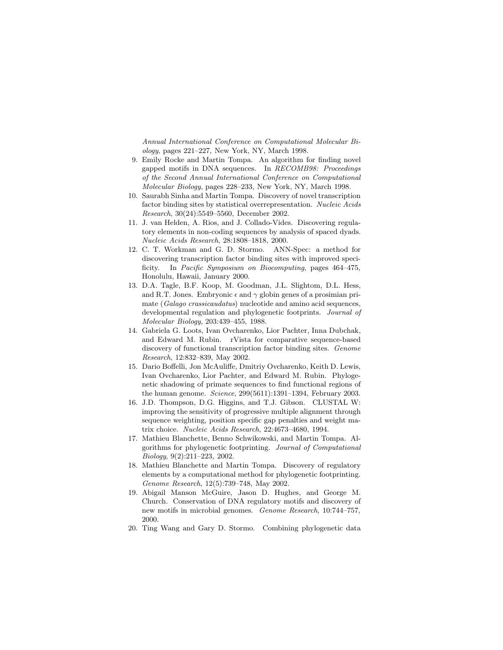Annual International Conference on Computational Molecular Biology, pages 221–227, New York, NY, March 1998.

- 9. Emily Rocke and Martin Tompa. An algorithm for finding novel gapped motifs in DNA sequences. In RECOMB98: Proceedings of the Second Annual International Conference on Computational Molecular Biology, pages 228–233, New York, NY, March 1998.
- 10. Saurabh Sinha and Martin Tompa. Discovery of novel transcription factor binding sites by statistical overrepresentation. Nucleic Acids Research, 30(24):5549–5560, December 2002.
- 11. J. van Helden, A. Rios, and J. Collado-Vides. Discovering regulatory elements in non-coding sequences by analysis of spaced dyads. Nucleic Acids Research, 28:1808–1818, 2000.
- 12. C. T. Workman and G. D. Stormo. ANN-Spec: a method for discovering transcription factor binding sites with improved specificity. In Pacific Symposium on Biocomputing, pages 464–475, Honolulu, Hawaii, January 2000.
- 13. D.A. Tagle, B.F. Koop, M. Goodman, J.L. Slightom, D.L. Hess, and R.T. Jones. Embryonic  $\epsilon$  and  $\gamma$  globin genes of a prosimian primate (Galago crassicaudatus) nucleotide and amino acid sequences, developmental regulation and phylogenetic footprints. Journal of Molecular Biology, 203:439–455, 1988.
- 14. Gabriela G. Loots, Ivan Ovcharenko, Lior Pachter, Inna Dubchak, and Edward M. Rubin. rVista for comparative sequence-based discovery of functional transcription factor binding sites. Genome Research, 12:832–839, May 2002.
- 15. Dario Boffelli, Jon McAuliffe, Dmitriy Ovcharenko, Keith D. Lewis, Ivan Ovcharenko, Lior Pachter, and Edward M. Rubin. Phylogenetic shadowing of primate sequences to find functional regions of the human genome. Science, 299(5611):1391–1394, February 2003.
- 16. J.D. Thompson, D.G. Higgins, and T.J. Gibson. CLUSTAL W: improving the sensitivity of progressive multiple alignment through sequence weighting, position specific gap penalties and weight matrix choice. Nucleic Acids Research, 22:4673–4680, 1994.
- 17. Mathieu Blanchette, Benno Schwikowski, and Martin Tompa. Algorithms for phylogenetic footprinting. Journal of Computational Biology, 9(2):211–223, 2002.
- 18. Mathieu Blanchette and Martin Tompa. Discovery of regulatory elements by a computational method for phylogenetic footprinting. Genome Research, 12(5):739–748, May 2002.
- 19. Abigail Manson McGuire, Jason D. Hughes, and George M. Church. Conservation of DNA regulatory motifs and discovery of new motifs in microbial genomes. Genome Research, 10:744–757, 2000.
- 20. Ting Wang and Gary D. Stormo. Combining phylogenetic data